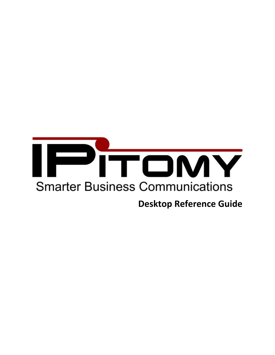

# **Desktop Reference Guide**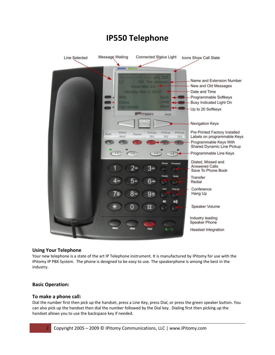

# **IP550 Telephone**

# **Using Your Telephone**

Your new telephone is a state of the art IP Telephone instrument. It is manufactured by IPitomy for use with the IPitomy IP PBX System. The phone is designed to be easy to use. The speakerphone is among the best in the industry.

## **Basic Operation:**

## **To make a phone call:**

Dial the number first then pick up the handset, press a Line Key, press Dial, or press the green speaker button. You can also pick up the handset then dial the number followed by the Dial key. Dialing first then picking up the handset allows you to use the backspace key if needed.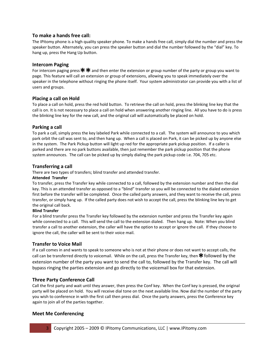## **To make a hands free call:**

The IPitomy phone is a high quality speaker phone. To make a hands free call, simply dial the number and press the speaker button. Alternately, you can press the speaker button and dial the number followed by the "dial" key. To hang up, press the Hang Up button.

# **Intercom Paging**

For intercom paging press  $**$  and then enter the extension or group number of the party or group you want to page. This feature will call an extension or group of extensions, allowing you to speak immediately over the speaker in the telephone without ringing the phone itself. Your system administrator can provide you with a list of users and groups.

# **Placing a call on Hold**

To place a call on hold, press the red hold button. To retrieve the call on hold, press the blinking line key that the call is on. It is not necessary to place a call on hold when answering another ringing line. All you have to do is press the blinking line key for the new call, and the original call will automatically be placed on hold.

# **Parking a call**

To park a call, simply press the key labeled Park while connected to a call. The system will announce to you which park orbit the call was sent to, and then hang up. When a call is placed on Park, it can be picked up by anyone else in the system. The Park Pickup button will light up red for the appropriate park pickup position. If a caller is parked and there are no park buttons available, then just remember the park pickup position that the phone system announces. The call can be picked up by simply dialing the park pickup code i.e. 704, 705 etc.

# **Transferring a call**

There are two types of transfers; blind transfer and attended transfer.

#### **Attended Transfer**

To transfer, press the Transfer key while connected to a call, followed by the extension number and then the dial key. This is an attended transfer as opposed to a "blind" transfer so you will be connected to the dialed extension first before the transfer will be completed. Once the called party answers, and they want to receive the call, press transfer, or simply hang up. If the called party does not wish to accept the call, press the blinking line key to get the original call back.

#### **Blind Transfer**

For a blind transfer press the Transfer key followed by the extension number and press the Transfer key again while connected to a call. This will send the call to the extension dialed. Then hang up. Note: When you blind transfer a call to another extension, the caller will have the option to accept or ignore the call. If they choose to ignore the call, the caller will be sent to their voice mail.

## **Transfer to Voice Mail**

If a call comes in and wants to speak to someone who is not at their phone or does not want to accept calls, the call can be transferred directly to voicemail. While on the call, press the Transfer key, then \* followed by the extension number of the party you want to send the call to, followed by the Transfer key. The call will bypass ringing the parties extension and go directly to the voicemail box for that extension.

## **Three Party Conference Call**

Call the first party and wait until they answer, then press the Conf key. When the Conf key is pressed, the original party will be placed on hold. You will receive dial tone on the next available line. Now dial the number of the party you wish to conference in with the first call then press dial. Once the party answers, press the Conference key again to join all of the parties together.

## **Meet Me Conferencing**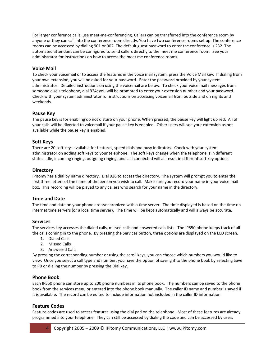For larger conference calls, use meet-me-conferencing. Callers can be transferred into the conference room by anyone or they can call into the conference room directly. You have two conference rooms set up. The conference rooms can be accessed by dialing 901 or 902. The default guest password to enter the conference is 232. The automated attendant can be configured to send callers directly to the meet me conference room. See your administrator for instructions on how to access the meet me conference rooms.

# **Voice Mail**

To check your voicemail or to access the features in the voice mail system, press the Voice Mail key. If dialing from your own extension, you will be asked for your password. Enter the password provided by your system administrator. Detailed instructions on using the voicemail are below. To check your voice mail messages from someone else's telephone, dial 924; you will be prompted to enter your extension number and your password. Check with your system administrator for instructions on accessing voicemail from outside and on nights and weekends.

# **Pause Key**

The pause key is for enabling do not disturb on your phone. When pressed, the pause key will light up red. All of your calls will be diverted to voicemail if your pause key is enabled. Other users will see your extension as not available while the pause key is enabled.

# **Soft Keys**

There are 20 soft keys available for features, speed dials and busy indicators. Check with your system administrator on adding soft keys to your telephone. The soft keys change when the telephone is in different states. Idle, incoming ringing, outgoing ringing, and call connected will all result in different soft key options.

## **Directory**

IPitomy has a dial by name directory. Dial 926 to access the directory. The system will prompt you to enter the first three letters of the name of the person you wish to call. Make sure you record your name in your voice mail box. This recording will be played to any callers who search for your name in the directory.

# **Time and Date**

The time and date on your phone are synchronized with a time server. The time displayed is based on the time on Internet time servers (or a local time server). The time will be kept automatically and will always be accurate.

## **Services**

The services key accesses the dialed calls, missed calls and answered calls lists. The IP550 phone keeps track of all the calls coming in to the phone. By pressing the Services button, three options are displayed on the LCD screen.

- 1. Dialed Calls
- 2. Missed Calls
- 3. Answered Calls

By pressing the corresponding number or using the scroll keys, you can choose which numbers you would like to view. Once you select a call type and number, you have the option of saving it to the phone book by selecting Save to PB or dialing the number by pressing the Dial key.

## **Phone Book**

Each IP550 phone can store up to 200 phone numbers in its phone book. The numbers can be saved to the phone book from the services menu or entered into the phone book manually. The caller ID name and number is saved if it is available. The record can be edited to include information not included in the caller ID information.

# **Feature Codes**

Feature codes are used to access features using the dial pad on the telephone. Most of these features are already programmed into your telephone. They can still be accessed by dialing the code and can be accessed by users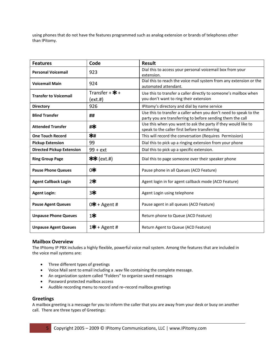using phones that do not have the features programmed such as analog extension or brands of telephones other than IPitomy.

| <b>Features</b>                  | Code                                        | <b>Result</b>                                                                                                                   |
|----------------------------------|---------------------------------------------|---------------------------------------------------------------------------------------------------------------------------------|
| <b>Personal Voicemail</b>        | 923                                         | Dial this to access your personal voicemail box from your<br>extension.                                                         |
| <b>Voicemail Main</b>            | 924                                         | Dial this to reach the voice mail system from any extension or the<br>automated attendant.                                      |
| <b>Transfer to Voicemail</b>     | Transfer + $\mathbf{\ddot{*}}$ +<br>(ext.#) | Use this to transfer a caller directly to someone's mailbox when<br>you don't want to ring their extension                      |
| <b>Directory</b>                 | 926                                         | IPitomy's directory and dial by name service                                                                                    |
| <b>Blind Transfer</b>            | ##                                          | Use this to transfer a caller when you don't need to speak to the<br>party you are transferring to before sending them the call |
| <b>Attended Transfer</b>         | #*                                          | Use this when you want to ask the party if they would like to<br>speak to the caller first before transferring                  |
| <b>One Touch Record</b>          | ∗∗                                          | This will record the conversation (Requires Permission)                                                                         |
| <b>Pickup Extension</b>          | 99                                          | Dial this to pick up a ringing extension from your phone                                                                        |
| <b>Directed Pickup Extension</b> | $99 + ext$                                  | Dial this to pick up a specific extension.                                                                                      |
| <b>Ring Group Page</b>           | $**$ (ext.#)                                | Dial this to page someone over their speaker phone                                                                              |
| <b>Pause Phone Queues</b>        | 0*                                          | Pause phone in all Queues (ACD Feature)                                                                                         |
| <b>Agent Callback Login</b>      | 2₩                                          | Agent login in for agent callback mode (ACD Feature)                                                                            |
| <b>Agent Login:</b>              | 3₩                                          | Agent Login using telephone                                                                                                     |
| <b>Pause Agent Queues</b>        | $0$ * + Agent #                             | Pause agent in all queues (ACD Feature)                                                                                         |
| <b>Unpause Phone Queues</b>      | 1≭                                          | Return phone to Queue (ACD Feature)                                                                                             |
| <b>Unpause Agent Queues</b>      | 1* + Agent #                                | Return Agent to Queue (ACD Feature)                                                                                             |

## **Mailbox Overview**

The IPitomy IP PBX includes a highly flexible, powerful voice mail system. Among the features that are included in the voice mail systems are:

- Three different types of greetings
- Voice Mail sent to email including a .wav file containing the complete message.
- An organization system called "Folders" to organize saved messages
- Password protected mailbox access
- Audible recording menu to record and re–record mailbox greetings

## **Greetings**

A mailbox greeting is a message for you to inform the caller that you are away from your desk or busy on another call. There are three types of Greetings: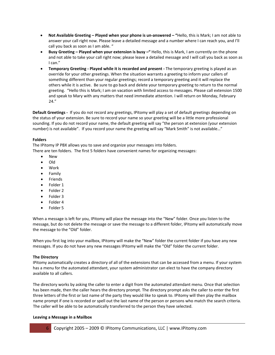- **Not Available Greeting – Played when your phone is un‐answered – "**Hello, this is Mark; I am not able to answer your call right now. Please leave a detailed message and a number where I can reach you, and I'll call you back as soon as I am able. "
- **Busy Greeting – Played when your extension is busy –"** Hello, this is Mark, I am currently on the phone and not able to take your call right now; please leave a detailed message and I will call you back as soon as I can."
- **Temporary Greeting ‐ Played while it is recorded and present ‐** The temporary greeting is played as an override for your other greetings. When the situation warrants a greeting to inform your callers of something different than your regular greetings; record a temporary greeting and it will replace the others while it is active. Be sure to go back and delete your temporary greeting to return to the normal greeting. "Hello this is Mark; I am on vacation with limited access to messages. Please call extension 1500 and speak to Mary with any matters that need immediate attention. I will return on Monday, February 24."

**Default Greetings ‐** If you do not record any greetings, IPitomy will play a set of default greetings depending on the status of your extension. Be sure to record your name so your greeting will be a little more professional sounding. If you do not record your name, the default greeting will say "the person at extension (your extension number) is not available". If you record your name the greeting will say "Mark Smith" is not available…"

#### **Folders**

The IPitomy IP PBX allows you to save and organize your messages into folders. There are ten folders. The first 5 folders have convenient names for organizing messages:

- New
- Old
- Work
- Family
- Friends
- Folder 1
- Folder 2
- Folder 3
- Folder 4
- Folder 5

When a message is left for you, IPitomy will place the message into the "New" folder. Once you listen to the message, but do not delete the message or save the message to a different folder, IPitomy will automatically move the message to the "Old" folder.

When you first log into your mailbox, IPitomy will make the "New" folder the current folder if you have any new messages. If you do not have any new messages IPitomy will make the "Old" folder the current folder.

#### **The Directory**

IPitomy automatically creates a directory of all of the extensions that can be accessed from a menu. If your system has a menu for the automated attendant, your system administrator can elect to have the company directory available to all callers.

The directory works by asking the caller to enter a digit from the automated attendant menu. Once that selection has been made, then the caller hears the directory prompt. The directory prompt asks the caller to enter the first three letters of the first or last name of the party they would like to speak to. IPitomy will then play the mailbox name prompt if one is recorded or spell out the last name of the person or persons who match the search criteria. The caller will be able to be automatically transferred to the person they have selected.

#### **Leaving a Message in a Mailbox**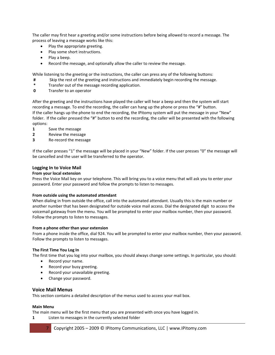The caller may first hear a greeting and/or some instructions before being allowed to record a message. The process of leaving a message works like this:

- Play the appropriate greeting.
- Play some short instructions.
- Play a beep.
- Record the message, and optionally allow the caller to review the message.

While listening to the greeting or the instructions, the caller can press any of the following buttons:

- **#** Skip the rest of the greeting and instructions and immediately begin recording the message.
- **\*** Transfer out of the message recording application.
- **0** Transfer to an operator

After the greeting and the instructions have played the caller will hear a beep and then the system will start recording a message. To end the recording, the caller can hang up the phone or press the "#" button. If the caller hangs up the phone to end the recording, the IPitomy system will put the message in your "New" folder. If the caller pressed the "#" button to end the recording, the caller will be presented with the following options:

- **1** Save the message
- **2** Review the message
- **3** Re‐record the message

If the caller presses "1" the message will be placed in your "New" folder. If the user presses "0" the message will be cancelled and the user will be transferred to the operator.

#### **Logging In to Voice Mail**

#### **From your local extension**

Press the Voice Mail key on your telephone. This will bring you to a voice menu that will ask you to enter your password. Enter your password and follow the prompts to listen to messages.

#### **From outside using the automated attendant**

When dialing in from outside the office, call into the automated attendant. Usually this is the main number or another number that has been designated for outside voice mail access. Dial the designated digit to access the voicemail gateway from the menu. You will be prompted to enter your mailbox number, then your password. Follow the prompts to listen to messages.

#### **From a phone other than your extension**

From a phone inside the office, dial 924. You will be prompted to enter your mailbox number, then your password. Follow the prompts to listen to messages.

#### **The First Time You Log In**

The first time that you log into your mailbox, you should always change some settings. In particular, you should:

- Record your name.
- Record your busy greeting.
- Record your unavailable greeting.
- Change your password.

#### **Voice Mail Menus**

This section contains a detailed description of the menus used to access your mail box.

#### **Main Menu**

The main menu will be the first menu that you are presented with once you have logged in.

**1** Listen to messages in the currently selected folder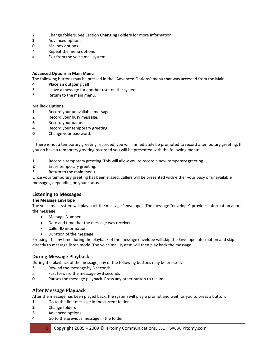- **2** Change folders. See Section **Changing Folders** for more information
- **3** Advanced options
- **0** Mailbox options
- **\*** Repeat the menu options
- **#** Exit from the voice mail system

#### **Advanced Options in Main Menu**

The following buttons may be pressed in the "Advanced Options" menu that was accessed from the Main

#### **4 Place an outgoing call**

- **5** Leave a message for another user on the system.
- **\*** Return to the main menu.

#### **Mailbox Options**

- **1** Record your unavailable message.
- **2** Record your busy message.
- **3** Record your name.
- **4** Record your temporary greeting.
- **0** Change your password.

If there is not a temporary greeting recorded, you will immediately be prompted to record a temporary greeting. If you do have a temporary greeting recorded you will be presented with the following menu:

- **1** Record a temporary greeting. This will allow you to record a new temporary greeting.
- **2** Erase temporary greeting.
- **\*** Return to the main menu.

Once your temporary greeting has been erased, callers will be presented with either your busy or unavailable messages, depending on your status.

## **Listening to Messages**

#### **The Message Envelope**

The voice mail system will play back the message "envelope". The message "envelope" provides information about the message:

- Message Number
- Date and time that the message was received
- Caller ID information
- Duration of the message

Pressing "1" any time during the playback of the message envelope will skip the Envelope information and skip directly to message listen mode. The voice mail system will then play back the message.

## **During Message Playback**

During the playback of the message, any of the following buttons may be pressed:

- **\*** Rewind the message by 3 seconds
- **#** Fast forward the message by 3 seconds
- **0** Pauses the message playback. Press any other button to resume.

## **After Message Playback**

After the message has been played back, the system will play a prompt and wait for you to press a button:

- **1** Go to the first message in the current folder
- **2** Change folders
- **3** Advanced options
- **4** Go to the previous message in the folder